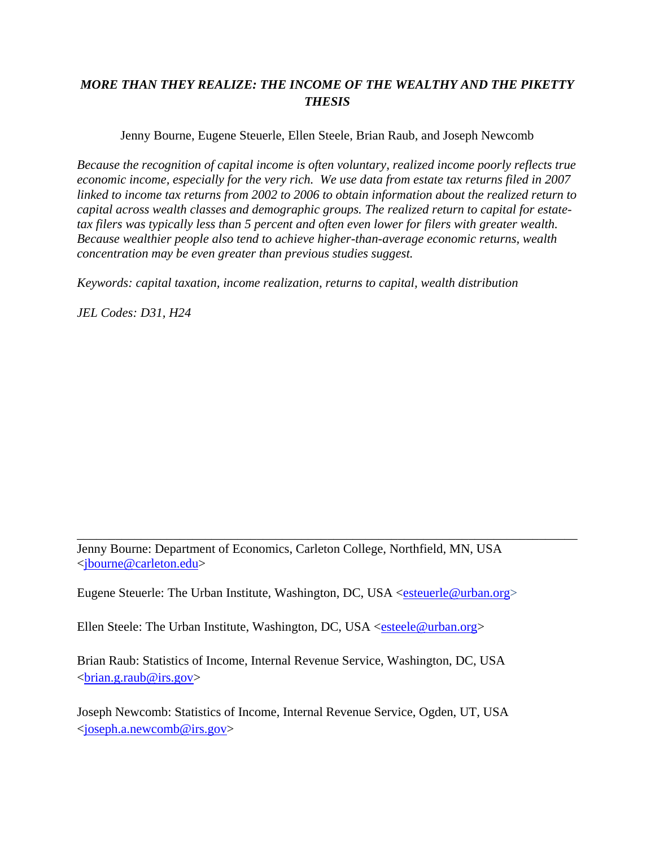# *MORE THAN THEY REALIZE: THE INCOME OF THE WEALTHY AND THE PIKETTY THESIS*

Jenny Bourne, Eugene Steuerle, Ellen Steele, Brian Raub, and Joseph Newcomb

*Because the recognition of capital income is often voluntary, realized income poorly reflects true economic income, especially for the very rich. We use data from estate tax returns filed in 2007 linked to income tax returns from 2002 to 2006 to obtain information about the realized return to capital across wealth classes and demographic groups. The realized return to capital for estatetax filers was typically less than 5 percent and often even lower for filers with greater wealth. Because wealthier people also tend to achieve higher-than-average economic returns, wealth concentration may be even greater than previous studies suggest.* 

*Keywords: capital taxation, income realization, returns to capital, wealth distribution* 

*JEL Codes: D31, H24* 

Jenny Bourne: Department of Economics, Carleton College, Northfield, MN, USA <jbourne@carleton.edu>

\_\_\_\_\_\_\_\_\_\_\_\_\_\_\_\_\_\_\_\_\_\_\_\_\_\_\_\_\_\_\_\_\_\_\_\_\_\_\_\_\_\_\_\_\_\_\_\_\_\_\_\_\_\_\_\_\_\_\_\_\_\_\_\_\_\_\_\_\_\_\_\_\_\_\_\_\_\_

Eugene Steuerle: The Urban Institute, Washington, DC, USA <esteuerle@urban.org>

Ellen Steele: The Urban Institute, Washington, DC, USA <esteele@urban.org>

Brian Raub: Statistics of Income, Internal Revenue Service, Washington, DC, USA  $\langle \text{brain}, g \cdot \text{rank}\omega \rangle$  irs.gov>

Joseph Newcomb: Statistics of Income, Internal Revenue Service, Ogden, UT, USA <joseph.a.newcomb@irs.gov>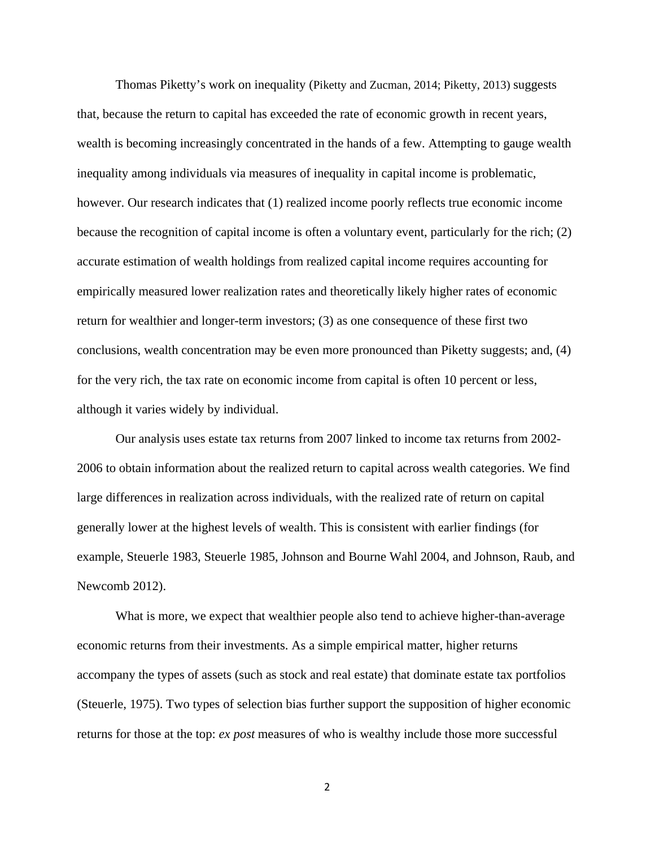Thomas Piketty's work on inequality (Piketty and Zucman, 2014; Piketty, 2013) suggests that, because the return to capital has exceeded the rate of economic growth in recent years, wealth is becoming increasingly concentrated in the hands of a few. Attempting to gauge wealth inequality among individuals via measures of inequality in capital income is problematic, however. Our research indicates that (1) realized income poorly reflects true economic income because the recognition of capital income is often a voluntary event, particularly for the rich; (2) accurate estimation of wealth holdings from realized capital income requires accounting for empirically measured lower realization rates and theoretically likely higher rates of economic return for wealthier and longer-term investors; (3) as one consequence of these first two conclusions, wealth concentration may be even more pronounced than Piketty suggests; and, (4) for the very rich, the tax rate on economic income from capital is often 10 percent or less, although it varies widely by individual.

Our analysis uses estate tax returns from 2007 linked to income tax returns from 2002- 2006 to obtain information about the realized return to capital across wealth categories. We find large differences in realization across individuals, with the realized rate of return on capital generally lower at the highest levels of wealth. This is consistent with earlier findings (for example, Steuerle 1983, Steuerle 1985, Johnson and Bourne Wahl 2004, and Johnson, Raub, and Newcomb 2012).

What is more, we expect that wealthier people also tend to achieve higher-than-average economic returns from their investments. As a simple empirical matter, higher returns accompany the types of assets (such as stock and real estate) that dominate estate tax portfolios (Steuerle, 1975). Two types of selection bias further support the supposition of higher economic returns for those at the top: *ex post* measures of who is wealthy include those more successful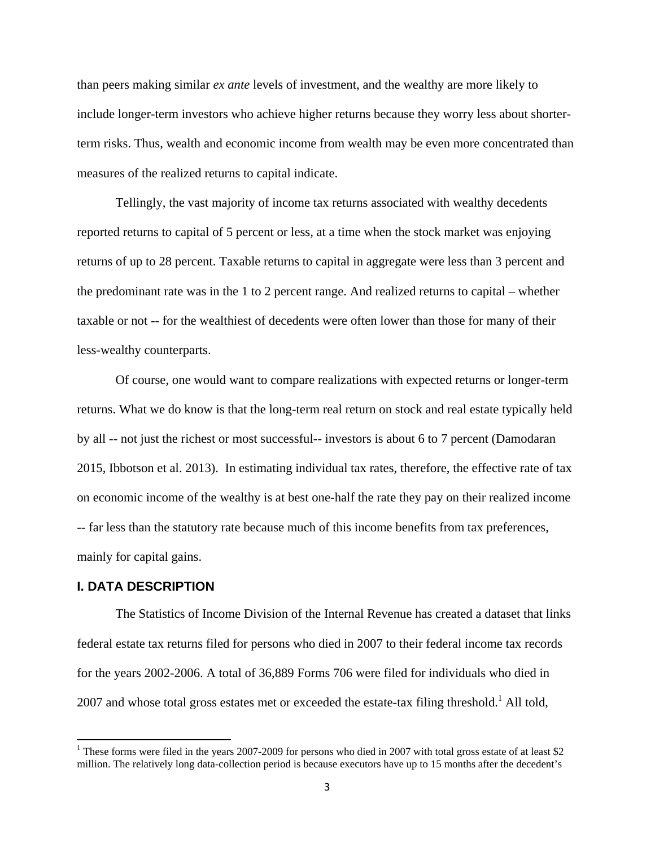than peers making similar *ex ante* levels of investment, and the wealthy are more likely to include longer-term investors who achieve higher returns because they worry less about shorterterm risks. Thus, wealth and economic income from wealth may be even more concentrated than measures of the realized returns to capital indicate.

Tellingly, the vast majority of income tax returns associated with wealthy decedents reported returns to capital of 5 percent or less, at a time when the stock market was enjoying returns of up to 28 percent. Taxable returns to capital in aggregate were less than 3 percent and the predominant rate was in the 1 to 2 percent range. And realized returns to capital – whether taxable or not -- for the wealthiest of decedents were often lower than those for many of their less-wealthy counterparts.

Of course, one would want to compare realizations with expected returns or longer-term returns. What we do know is that the long-term real return on stock and real estate typically held by all -- not just the richest or most successful-- investors is about 6 to 7 percent (Damodaran 2015, Ibbotson et al. 2013). In estimating individual tax rates, therefore, the effective rate of tax on economic income of the wealthy is at best one-half the rate they pay on their realized income -- far less than the statutory rate because much of this income benefits from tax preferences, mainly for capital gains.

# **I. DATA DESCRIPTION**

 $\overline{a}$ 

The Statistics of Income Division of the Internal Revenue has created a dataset that links federal estate tax returns filed for persons who died in 2007 to their federal income tax records for the years 2002-2006. A total of 36,889 Forms 706 were filed for individuals who died in 2007 and whose total gross estates met or exceeded the estate-tax filing threshold.<sup>1</sup> All told,

<sup>&</sup>lt;sup>1</sup> These forms were filed in the years 2007-2009 for persons who died in 2007 with total gross estate of at least \$2 million. The relatively long data-collection period is because executors have up to 15 months after the decedent's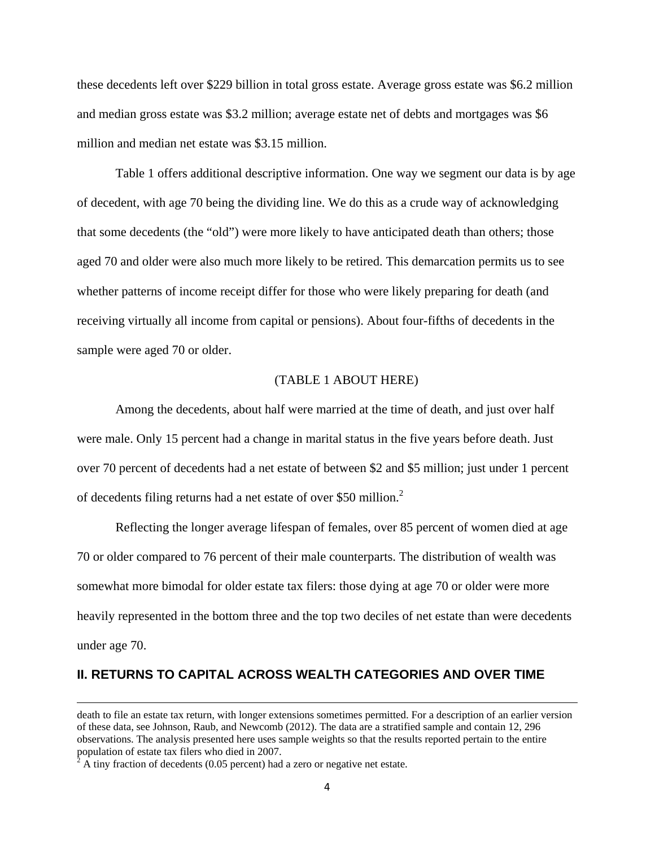these decedents left over \$229 billion in total gross estate. Average gross estate was \$6.2 million and median gross estate was \$3.2 million; average estate net of debts and mortgages was \$6 million and median net estate was \$3.15 million.

Table 1 offers additional descriptive information. One way we segment our data is by age of decedent, with age 70 being the dividing line. We do this as a crude way of acknowledging that some decedents (the "old") were more likely to have anticipated death than others; those aged 70 and older were also much more likely to be retired. This demarcation permits us to see whether patterns of income receipt differ for those who were likely preparing for death (and receiving virtually all income from capital or pensions). About four-fifths of decedents in the sample were aged 70 or older.

# (TABLE 1 ABOUT HERE)

Among the decedents, about half were married at the time of death, and just over half were male. Only 15 percent had a change in marital status in the five years before death. Just over 70 percent of decedents had a net estate of between \$2 and \$5 million; just under 1 percent of decedents filing returns had a net estate of over \$50 million. $2$ 

Reflecting the longer average lifespan of females, over 85 percent of women died at age 70 or older compared to 76 percent of their male counterparts. The distribution of wealth was somewhat more bimodal for older estate tax filers: those dying at age 70 or older were more heavily represented in the bottom three and the top two deciles of net estate than were decedents under age 70.

# **II. RETURNS TO CAPITAL ACROSS WEALTH CATEGORIES AND OVER TIME**

 $\overline{a}$ 

death to file an estate tax return, with longer extensions sometimes permitted. For a description of an earlier version of these data, see Johnson, Raub, and Newcomb (2012). The data are a stratified sample and contain 12, 296 observations. The analysis presented here uses sample weights so that the results reported pertain to the entire population of estate tax filers who died in 2007.

A tiny fraction of decedents  $(0.05$  percent) had a zero or negative net estate.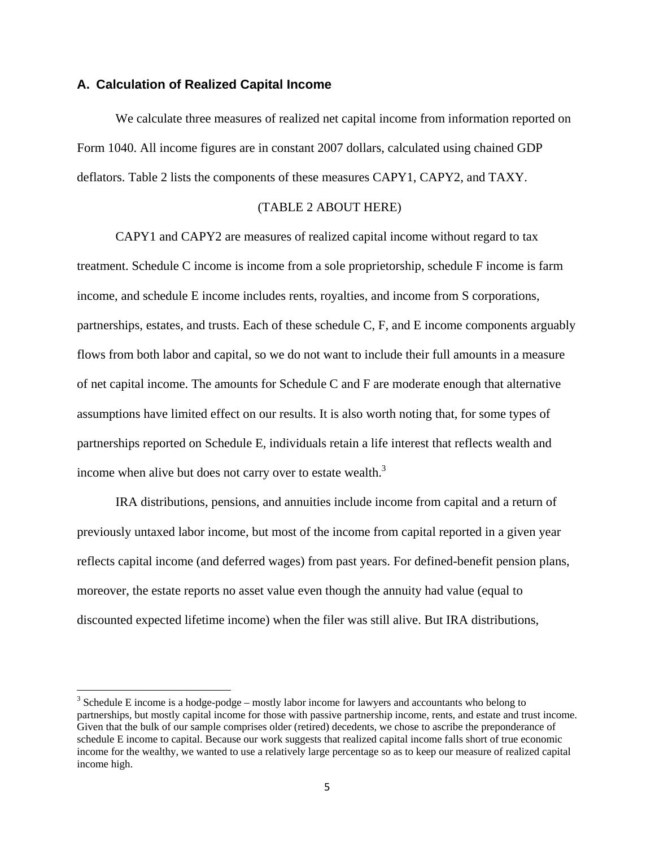## **A. Calculation of Realized Capital Income**

 $\overline{\phantom{a}}$ 

We calculate three measures of realized net capital income from information reported on Form 1040. All income figures are in constant 2007 dollars, calculated using chained GDP deflators. Table 2 lists the components of these measures CAPY1, CAPY2, and TAXY.

# (TABLE 2 ABOUT HERE)

CAPY1 and CAPY2 are measures of realized capital income without regard to tax treatment. Schedule C income is income from a sole proprietorship, schedule F income is farm income, and schedule E income includes rents, royalties, and income from S corporations, partnerships, estates, and trusts. Each of these schedule C, F, and E income components arguably flows from both labor and capital, so we do not want to include their full amounts in a measure of net capital income. The amounts for Schedule C and F are moderate enough that alternative assumptions have limited effect on our results. It is also worth noting that, for some types of partnerships reported on Schedule E, individuals retain a life interest that reflects wealth and income when alive but does not carry over to estate wealth. $3$ 

IRA distributions, pensions, and annuities include income from capital and a return of previously untaxed labor income, but most of the income from capital reported in a given year reflects capital income (and deferred wages) from past years. For defined-benefit pension plans, moreover, the estate reports no asset value even though the annuity had value (equal to discounted expected lifetime income) when the filer was still alive. But IRA distributions,

 $3$  Schedule E income is a hodge-podge – mostly labor income for lawyers and accountants who belong to partnerships, but mostly capital income for those with passive partnership income, rents, and estate and trust income. Given that the bulk of our sample comprises older (retired) decedents, we chose to ascribe the preponderance of schedule E income to capital. Because our work suggests that realized capital income falls short of true economic income for the wealthy, we wanted to use a relatively large percentage so as to keep our measure of realized capital income high.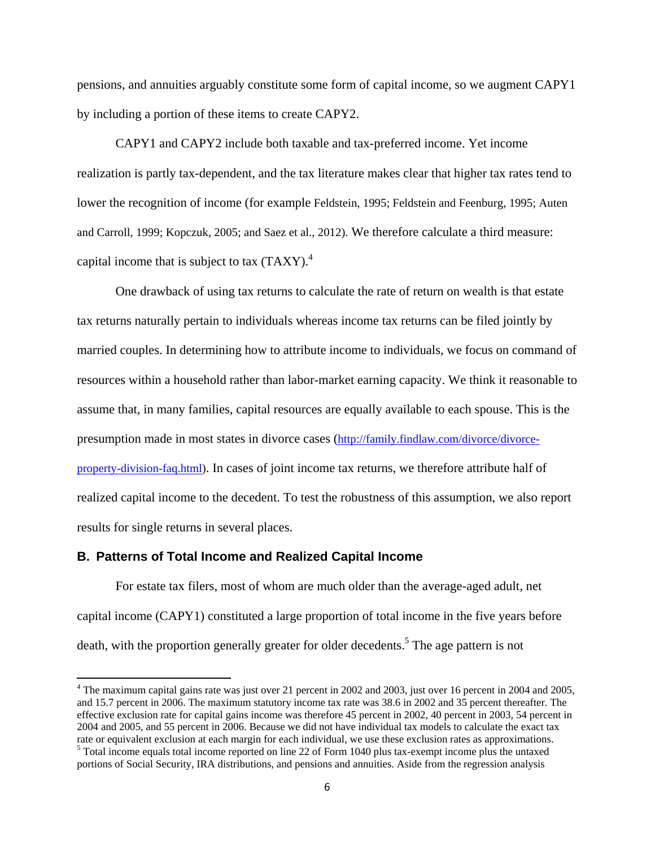pensions, and annuities arguably constitute some form of capital income, so we augment CAPY1 by including a portion of these items to create CAPY2.

CAPY1 and CAPY2 include both taxable and tax-preferred income. Yet income realization is partly tax-dependent, and the tax literature makes clear that higher tax rates tend to lower the recognition of income (for example Feldstein, 1995; Feldstein and Feenburg, 1995; Auten and Carroll, 1999; Kopczuk, 2005; and Saez et al., 2012). We therefore calculate a third measure: capital income that is subject to tax  $(TAXY)^4$ .

One drawback of using tax returns to calculate the rate of return on wealth is that estate tax returns naturally pertain to individuals whereas income tax returns can be filed jointly by married couples. In determining how to attribute income to individuals, we focus on command of resources within a household rather than labor-market earning capacity. We think it reasonable to assume that, in many families, capital resources are equally available to each spouse. This is the presumption made in most states in divorce cases (http://family.findlaw.com/divorce/divorceproperty-division-faq.html). In cases of joint income tax returns, we therefore attribute half of realized capital income to the decedent. To test the robustness of this assumption, we also report results for single returns in several places.

# **B. Patterns of Total Income and Realized Capital Income**

For estate tax filers, most of whom are much older than the average-aged adult, net capital income (CAPY1) constituted a large proportion of total income in the five years before death, with the proportion generally greater for older decedents.<sup>5</sup> The age pattern is not

 $\overline{\phantom{a}}$  $4$  The maximum capital gains rate was just over 21 percent in 2002 and 2003, just over 16 percent in 2004 and 2005, and 15.7 percent in 2006. The maximum statutory income tax rate was 38.6 in 2002 and 35 percent thereafter. The effective exclusion rate for capital gains income was therefore 45 percent in 2002, 40 percent in 2003, 54 percent in 2004 and 2005, and 55 percent in 2006. Because we did not have individual tax models to calculate the exact tax rate or equivalent exclusion at each margin for each individual, we use these exclusion rates as approximations. 5 Total income equals total income reported on line 22 of Form 1040 plus tax-exempt income plus the untaxed

portions of Social Security, IRA distributions, and pensions and annuities. Aside from the regression analysis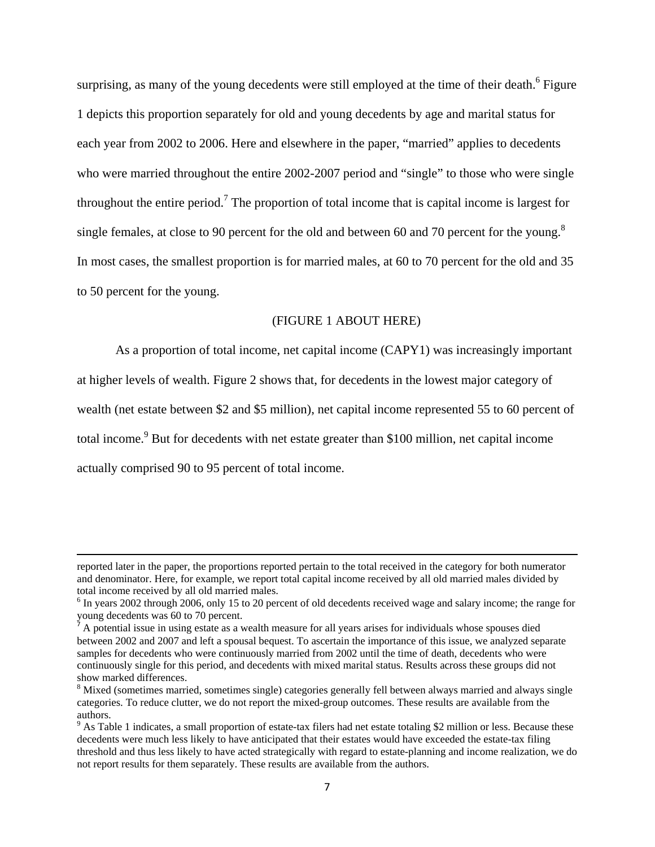surprising, as many of the young decedents were still employed at the time of their death.<sup>6</sup> Figure 1 depicts this proportion separately for old and young decedents by age and marital status for each year from 2002 to 2006. Here and elsewhere in the paper, "married" applies to decedents who were married throughout the entire 2002-2007 period and "single" to those who were single throughout the entire period.<sup>7</sup> The proportion of total income that is capital income is largest for single females, at close to 90 percent for the old and between 60 and 70 percent for the young.<sup>8</sup> In most cases, the smallest proportion is for married males, at 60 to 70 percent for the old and 35 to 50 percent for the young.

## (FIGURE 1 ABOUT HERE)

As a proportion of total income, net capital income (CAPY1) was increasingly important at higher levels of wealth. Figure 2 shows that, for decedents in the lowest major category of wealth (net estate between \$2 and \$5 million), net capital income represented 55 to 60 percent of total income.<sup>9</sup> But for decedents with net estate greater than \$100 million, net capital income actually comprised 90 to 95 percent of total income.

 $\overline{a}$ 

reported later in the paper, the proportions reported pertain to the total received in the category for both numerator and denominator. Here, for example, we report total capital income received by all old married males divided by total income received by all old married males.

<sup>&</sup>lt;sup>6</sup> In years 2002 through 2006, only 15 to 20 percent of old decedents received wage and salary income; the range for young decedents was 60 to 70 percent.

<sup>7</sup> A potential issue in using estate as a wealth measure for all years arises for individuals whose spouses died between 2002 and 2007 and left a spousal bequest. To ascertain the importance of this issue, we analyzed separate samples for decedents who were continuously married from 2002 until the time of death, decedents who were continuously single for this period, and decedents with mixed marital status. Results across these groups did not show marked differences.

<sup>&</sup>lt;sup>8</sup> Mixed (sometimes married, sometimes single) categories generally fell between always married and always single categories. To reduce clutter, we do not report the mixed-group outcomes. These results are available from the authors.

 $9$  As Table 1 indicates, a small proportion of estate-tax filers had net estate totaling \$2 million or less. Because these decedents were much less likely to have anticipated that their estates would have exceeded the estate-tax filing threshold and thus less likely to have acted strategically with regard to estate-planning and income realization, we do not report results for them separately. These results are available from the authors.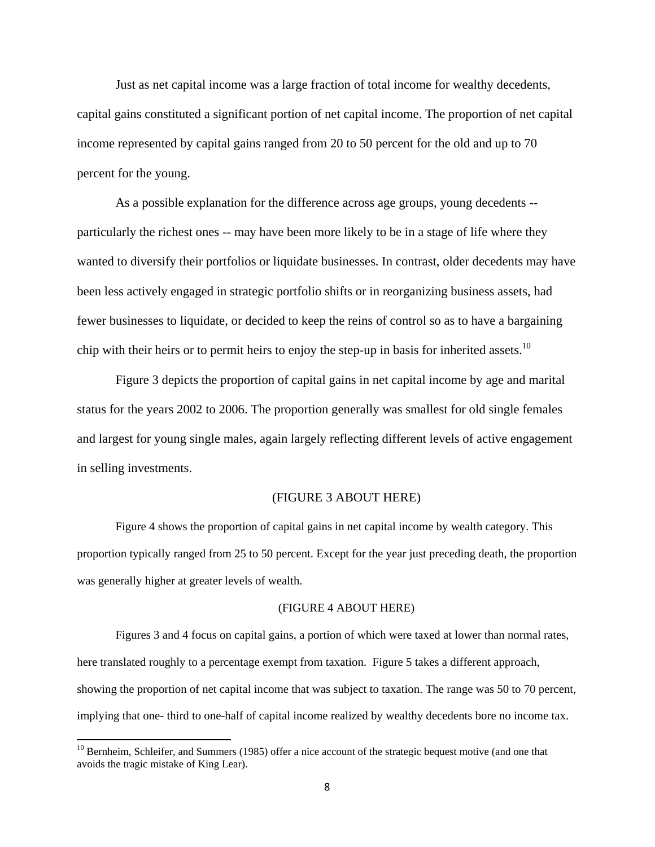Just as net capital income was a large fraction of total income for wealthy decedents, capital gains constituted a significant portion of net capital income. The proportion of net capital income represented by capital gains ranged from 20 to 50 percent for the old and up to 70 percent for the young.

As a possible explanation for the difference across age groups, young decedents - particularly the richest ones -- may have been more likely to be in a stage of life where they wanted to diversify their portfolios or liquidate businesses. In contrast, older decedents may have been less actively engaged in strategic portfolio shifts or in reorganizing business assets, had fewer businesses to liquidate, or decided to keep the reins of control so as to have a bargaining chip with their heirs or to permit heirs to enjoy the step-up in basis for inherited assets.<sup>10</sup>

Figure 3 depicts the proportion of capital gains in net capital income by age and marital status for the years 2002 to 2006. The proportion generally was smallest for old single females and largest for young single males, again largely reflecting different levels of active engagement in selling investments.

## (FIGURE 3 ABOUT HERE)

Figure 4 shows the proportion of capital gains in net capital income by wealth category. This proportion typically ranged from 25 to 50 percent. Except for the year just preceding death, the proportion was generally higher at greater levels of wealth.

#### (FIGURE 4 ABOUT HERE)

 Figures 3 and 4 focus on capital gains, a portion of which were taxed at lower than normal rates, here translated roughly to a percentage exempt from taxation. Figure 5 takes a different approach, showing the proportion of net capital income that was subject to taxation. The range was 50 to 70 percent, implying that one- third to one-half of capital income realized by wealthy decedents bore no income tax.

<sup>&</sup>lt;sup>10</sup> Bernheim, Schleifer, and Summers (1985) offer a nice account of the strategic bequest motive (and one that avoids the tragic mistake of King Lear).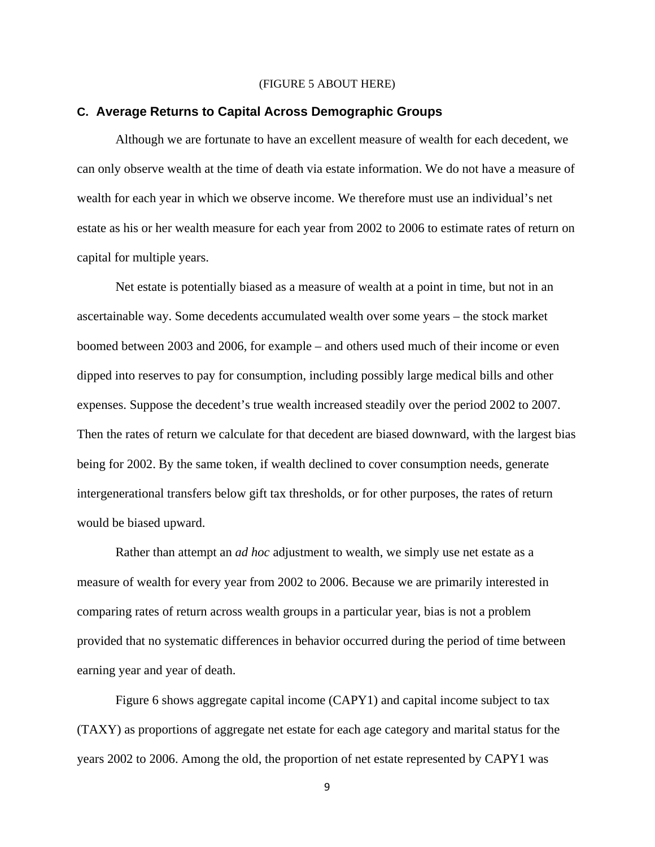### (FIGURE 5 ABOUT HERE)

# **C. Average Returns to Capital Across Demographic Groups**

Although we are fortunate to have an excellent measure of wealth for each decedent, we can only observe wealth at the time of death via estate information. We do not have a measure of wealth for each year in which we observe income. We therefore must use an individual's net estate as his or her wealth measure for each year from 2002 to 2006 to estimate rates of return on capital for multiple years.

Net estate is potentially biased as a measure of wealth at a point in time, but not in an ascertainable way. Some decedents accumulated wealth over some years – the stock market boomed between 2003 and 2006, for example – and others used much of their income or even dipped into reserves to pay for consumption, including possibly large medical bills and other expenses. Suppose the decedent's true wealth increased steadily over the period 2002 to 2007. Then the rates of return we calculate for that decedent are biased downward, with the largest bias being for 2002. By the same token, if wealth declined to cover consumption needs, generate intergenerational transfers below gift tax thresholds, or for other purposes, the rates of return would be biased upward.

Rather than attempt an *ad hoc* adjustment to wealth, we simply use net estate as a measure of wealth for every year from 2002 to 2006. Because we are primarily interested in comparing rates of return across wealth groups in a particular year, bias is not a problem provided that no systematic differences in behavior occurred during the period of time between earning year and year of death.

Figure 6 shows aggregate capital income (CAPY1) and capital income subject to tax (TAXY) as proportions of aggregate net estate for each age category and marital status for the years 2002 to 2006. Among the old, the proportion of net estate represented by CAPY1 was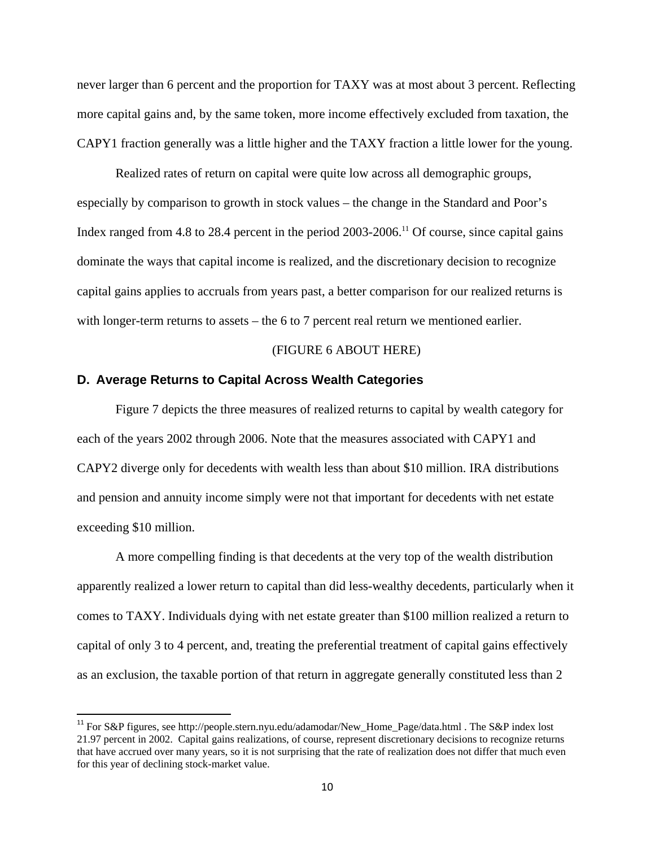never larger than 6 percent and the proportion for TAXY was at most about 3 percent. Reflecting more capital gains and, by the same token, more income effectively excluded from taxation, the CAPY1 fraction generally was a little higher and the TAXY fraction a little lower for the young.

Realized rates of return on capital were quite low across all demographic groups, especially by comparison to growth in stock values – the change in the Standard and Poor's Index ranged from 4.8 to 28.4 percent in the period  $2003-2006$ .<sup>11</sup> Of course, since capital gains dominate the ways that capital income is realized, and the discretionary decision to recognize capital gains applies to accruals from years past, a better comparison for our realized returns is with longer-term returns to assets – the 6 to 7 percent real return we mentioned earlier.

#### (FIGURE 6 ABOUT HERE)

# **D. Average Returns to Capital Across Wealth Categories**

 $\overline{\phantom{a}}$ 

Figure 7 depicts the three measures of realized returns to capital by wealth category for each of the years 2002 through 2006. Note that the measures associated with CAPY1 and CAPY2 diverge only for decedents with wealth less than about \$10 million. IRA distributions and pension and annuity income simply were not that important for decedents with net estate exceeding \$10 million.

A more compelling finding is that decedents at the very top of the wealth distribution apparently realized a lower return to capital than did less-wealthy decedents, particularly when it comes to TAXY. Individuals dying with net estate greater than \$100 million realized a return to capital of only 3 to 4 percent, and, treating the preferential treatment of capital gains effectively as an exclusion, the taxable portion of that return in aggregate generally constituted less than 2

<sup>&</sup>lt;sup>11</sup> For S&P figures, see http://people.stern.nyu.edu/adamodar/New\_Home\_Page/data.html . The S&P index lost 21.97 percent in 2002. Capital gains realizations, of course, represent discretionary decisions to recognize returns that have accrued over many years, so it is not surprising that the rate of realization does not differ that much even for this year of declining stock-market value.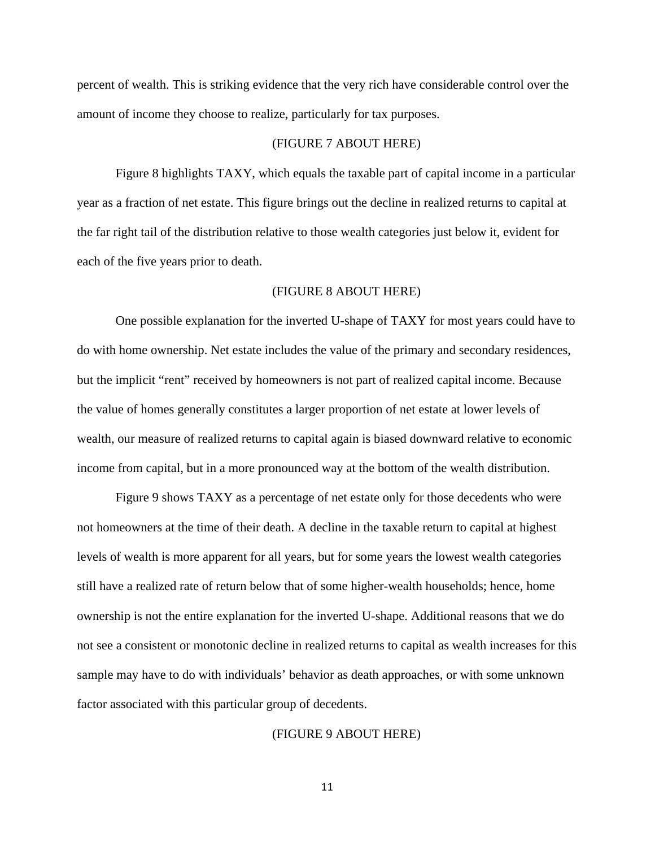percent of wealth. This is striking evidence that the very rich have considerable control over the amount of income they choose to realize, particularly for tax purposes.

## (FIGURE 7 ABOUT HERE)

Figure 8 highlights TAXY, which equals the taxable part of capital income in a particular year as a fraction of net estate. This figure brings out the decline in realized returns to capital at the far right tail of the distribution relative to those wealth categories just below it, evident for each of the five years prior to death.

#### (FIGURE 8 ABOUT HERE)

One possible explanation for the inverted U-shape of TAXY for most years could have to do with home ownership. Net estate includes the value of the primary and secondary residences, but the implicit "rent" received by homeowners is not part of realized capital income. Because the value of homes generally constitutes a larger proportion of net estate at lower levels of wealth, our measure of realized returns to capital again is biased downward relative to economic income from capital, but in a more pronounced way at the bottom of the wealth distribution.

Figure 9 shows TAXY as a percentage of net estate only for those decedents who were not homeowners at the time of their death. A decline in the taxable return to capital at highest levels of wealth is more apparent for all years, but for some years the lowest wealth categories still have a realized rate of return below that of some higher-wealth households; hence, home ownership is not the entire explanation for the inverted U-shape. Additional reasons that we do not see a consistent or monotonic decline in realized returns to capital as wealth increases for this sample may have to do with individuals' behavior as death approaches, or with some unknown factor associated with this particular group of decedents.

### (FIGURE 9 ABOUT HERE)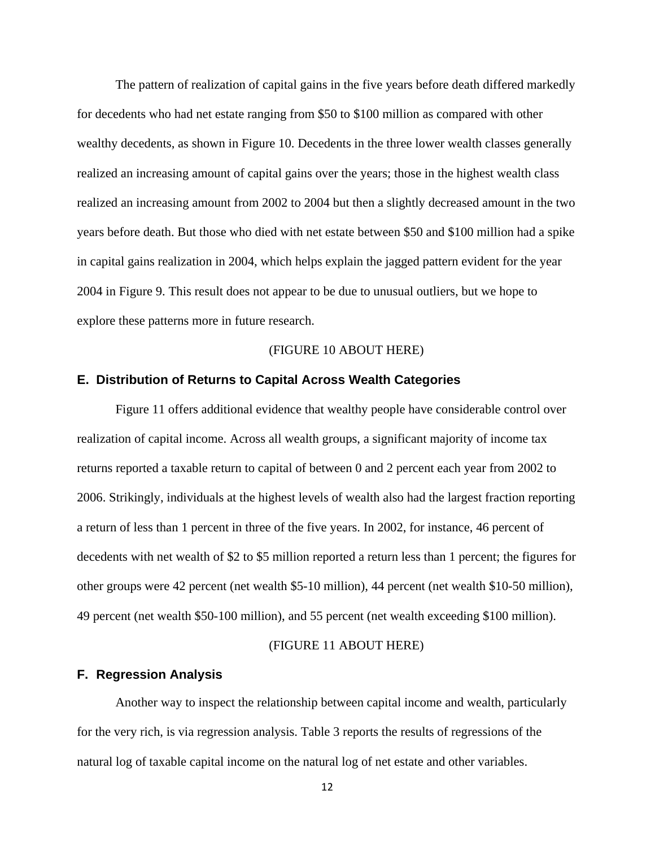The pattern of realization of capital gains in the five years before death differed markedly for decedents who had net estate ranging from \$50 to \$100 million as compared with other wealthy decedents, as shown in Figure 10. Decedents in the three lower wealth classes generally realized an increasing amount of capital gains over the years; those in the highest wealth class realized an increasing amount from 2002 to 2004 but then a slightly decreased amount in the two years before death. But those who died with net estate between \$50 and \$100 million had a spike in capital gains realization in 2004, which helps explain the jagged pattern evident for the year 2004 in Figure 9. This result does not appear to be due to unusual outliers, but we hope to explore these patterns more in future research.

#### (FIGURE 10 ABOUT HERE)

### **E. Distribution of Returns to Capital Across Wealth Categories**

Figure 11 offers additional evidence that wealthy people have considerable control over realization of capital income. Across all wealth groups, a significant majority of income tax returns reported a taxable return to capital of between 0 and 2 percent each year from 2002 to 2006. Strikingly, individuals at the highest levels of wealth also had the largest fraction reporting a return of less than 1 percent in three of the five years. In 2002, for instance, 46 percent of decedents with net wealth of \$2 to \$5 million reported a return less than 1 percent; the figures for other groups were 42 percent (net wealth \$5-10 million), 44 percent (net wealth \$10-50 million), 49 percent (net wealth \$50-100 million), and 55 percent (net wealth exceeding \$100 million).

## (FIGURE 11 ABOUT HERE)

### **F. Regression Analysis**

Another way to inspect the relationship between capital income and wealth, particularly for the very rich, is via regression analysis. Table 3 reports the results of regressions of the natural log of taxable capital income on the natural log of net estate and other variables.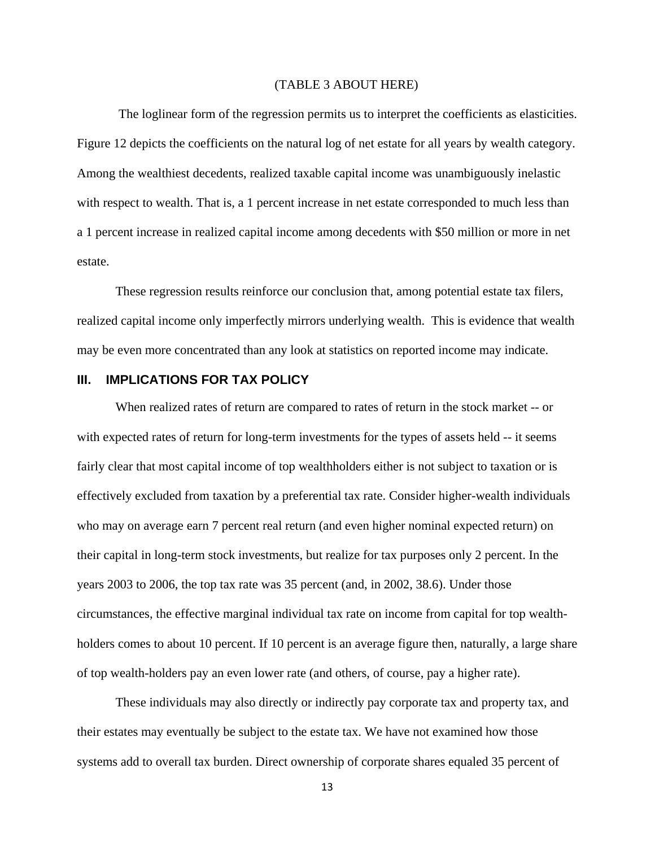#### (TABLE 3 ABOUT HERE)

 The loglinear form of the regression permits us to interpret the coefficients as elasticities. Figure 12 depicts the coefficients on the natural log of net estate for all years by wealth category. Among the wealthiest decedents, realized taxable capital income was unambiguously inelastic with respect to wealth. That is, a 1 percent increase in net estate corresponded to much less than a 1 percent increase in realized capital income among decedents with \$50 million or more in net estate.

These regression results reinforce our conclusion that, among potential estate tax filers, realized capital income only imperfectly mirrors underlying wealth. This is evidence that wealth may be even more concentrated than any look at statistics on reported income may indicate.

# **III. IMPLICATIONS FOR TAX POLICY**

When realized rates of return are compared to rates of return in the stock market -- or with expected rates of return for long-term investments for the types of assets held -- it seems fairly clear that most capital income of top wealthholders either is not subject to taxation or is effectively excluded from taxation by a preferential tax rate. Consider higher-wealth individuals who may on average earn 7 percent real return (and even higher nominal expected return) on their capital in long-term stock investments, but realize for tax purposes only 2 percent. In the years 2003 to 2006, the top tax rate was 35 percent (and, in 2002, 38.6). Under those circumstances, the effective marginal individual tax rate on income from capital for top wealthholders comes to about 10 percent. If 10 percent is an average figure then, naturally, a large share of top wealth-holders pay an even lower rate (and others, of course, pay a higher rate).

These individuals may also directly or indirectly pay corporate tax and property tax, and their estates may eventually be subject to the estate tax. We have not examined how those systems add to overall tax burden. Direct ownership of corporate shares equaled 35 percent of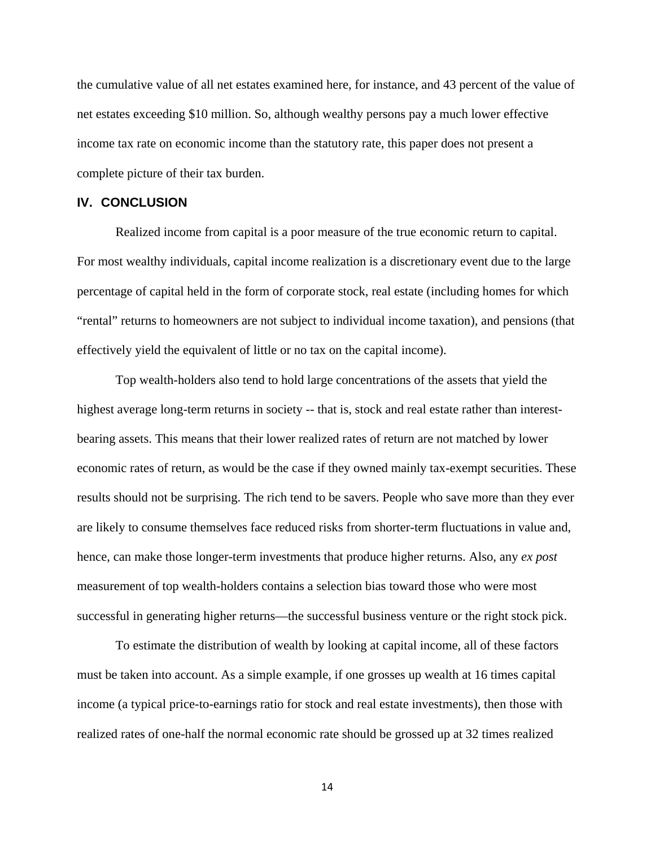the cumulative value of all net estates examined here, for instance, and 43 percent of the value of net estates exceeding \$10 million. So, although wealthy persons pay a much lower effective income tax rate on economic income than the statutory rate, this paper does not present a complete picture of their tax burden.

# **IV. CONCLUSION**

Realized income from capital is a poor measure of the true economic return to capital. For most wealthy individuals, capital income realization is a discretionary event due to the large percentage of capital held in the form of corporate stock, real estate (including homes for which "rental" returns to homeowners are not subject to individual income taxation), and pensions (that effectively yield the equivalent of little or no tax on the capital income).

Top wealth-holders also tend to hold large concentrations of the assets that yield the highest average long-term returns in society -- that is, stock and real estate rather than interestbearing assets. This means that their lower realized rates of return are not matched by lower economic rates of return, as would be the case if they owned mainly tax-exempt securities. These results should not be surprising. The rich tend to be savers. People who save more than they ever are likely to consume themselves face reduced risks from shorter-term fluctuations in value and, hence, can make those longer-term investments that produce higher returns. Also, any *ex post* measurement of top wealth-holders contains a selection bias toward those who were most successful in generating higher returns—the successful business venture or the right stock pick.

To estimate the distribution of wealth by looking at capital income, all of these factors must be taken into account. As a simple example, if one grosses up wealth at 16 times capital income (a typical price-to-earnings ratio for stock and real estate investments), then those with realized rates of one-half the normal economic rate should be grossed up at 32 times realized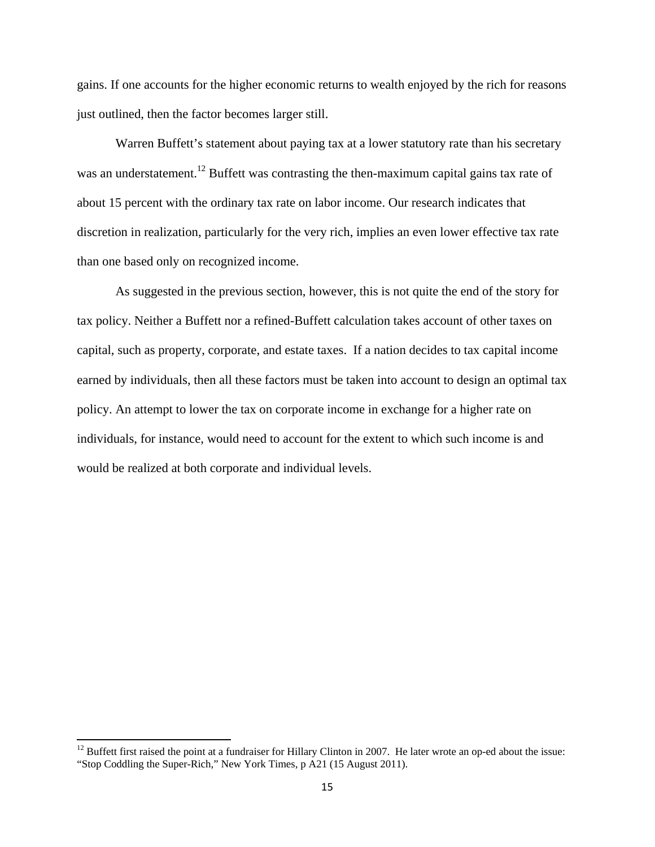gains. If one accounts for the higher economic returns to wealth enjoyed by the rich for reasons just outlined, then the factor becomes larger still.

Warren Buffett's statement about paying tax at a lower statutory rate than his secretary was an understatement.<sup>12</sup> Buffett was contrasting the then-maximum capital gains tax rate of about 15 percent with the ordinary tax rate on labor income. Our research indicates that discretion in realization, particularly for the very rich, implies an even lower effective tax rate than one based only on recognized income.

As suggested in the previous section, however, this is not quite the end of the story for tax policy. Neither a Buffett nor a refined-Buffett calculation takes account of other taxes on capital, such as property, corporate, and estate taxes. If a nation decides to tax capital income earned by individuals, then all these factors must be taken into account to design an optimal tax policy. An attempt to lower the tax on corporate income in exchange for a higher rate on individuals, for instance, would need to account for the extent to which such income is and would be realized at both corporate and individual levels.

 $\overline{a}$ 

 $12$  Buffett first raised the point at a fundraiser for Hillary Clinton in 2007. He later wrote an op-ed about the issue: "Stop Coddling the Super-Rich," New York Times, p A21 (15 August 2011).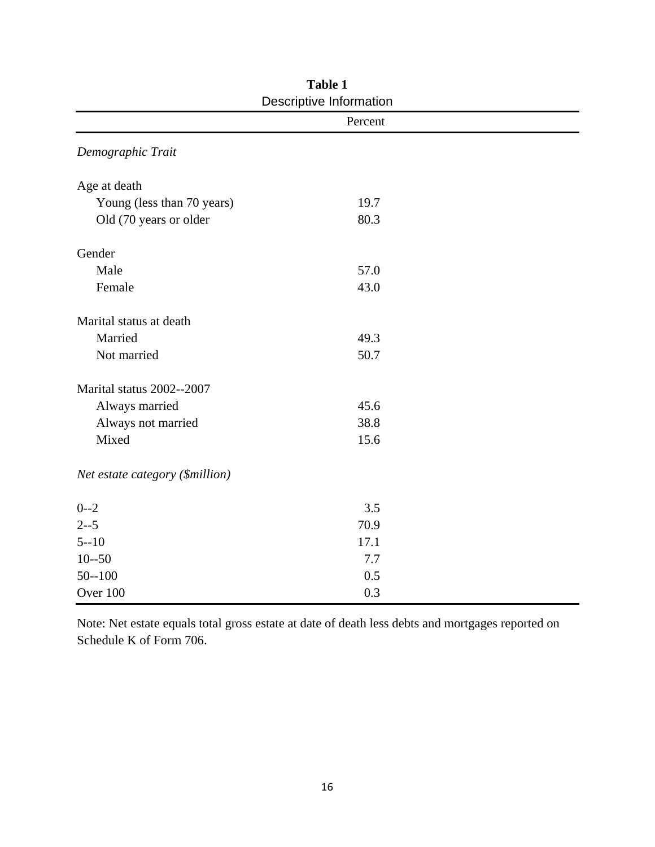| Descriptive Information         |         |  |  |  |  |  |  |
|---------------------------------|---------|--|--|--|--|--|--|
|                                 | Percent |  |  |  |  |  |  |
| Demographic Trait               |         |  |  |  |  |  |  |
| Age at death                    |         |  |  |  |  |  |  |
| Young (less than 70 years)      | 19.7    |  |  |  |  |  |  |
| Old (70 years or older          | 80.3    |  |  |  |  |  |  |
| Gender                          |         |  |  |  |  |  |  |
| Male                            | 57.0    |  |  |  |  |  |  |
| Female                          | 43.0    |  |  |  |  |  |  |
| Marital status at death         |         |  |  |  |  |  |  |
| Married                         | 49.3    |  |  |  |  |  |  |
| Not married                     | 50.7    |  |  |  |  |  |  |
| Marital status 2002--2007       |         |  |  |  |  |  |  |
| Always married                  | 45.6    |  |  |  |  |  |  |
| Always not married              | 38.8    |  |  |  |  |  |  |
| Mixed                           | 15.6    |  |  |  |  |  |  |
| Net estate category (\$million) |         |  |  |  |  |  |  |
| $0 - 2$                         | 3.5     |  |  |  |  |  |  |
| $2 - -5$                        | 70.9    |  |  |  |  |  |  |
| $5 - 10$                        | 17.1    |  |  |  |  |  |  |
| $10 - 50$                       | 7.7     |  |  |  |  |  |  |
| $50 - 100$                      | 0.5     |  |  |  |  |  |  |
| Over 100                        | 0.3     |  |  |  |  |  |  |

**Table 1**  Descriptive Information

Note: Net estate equals total gross estate at date of death less debts and mortgages reported on Schedule K of Form 706.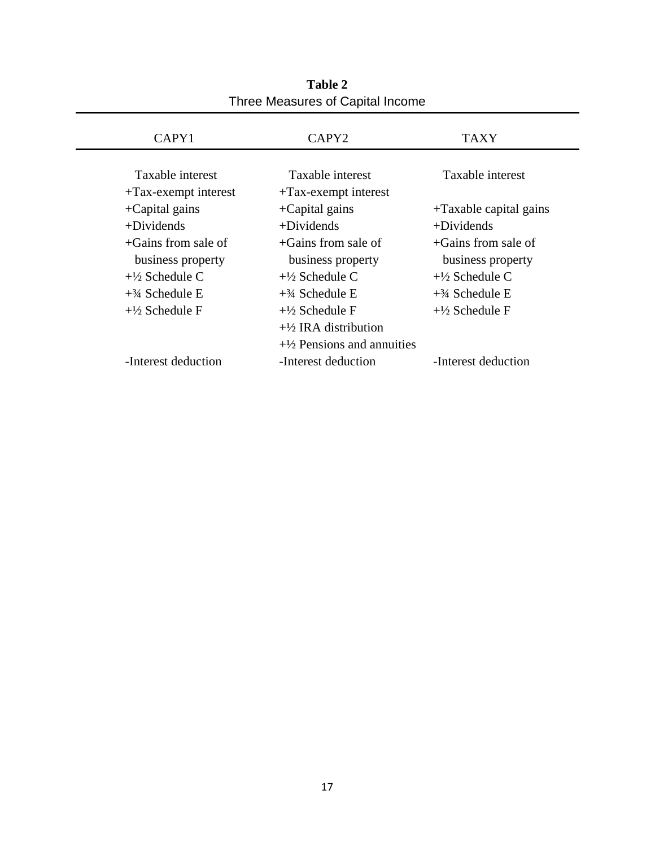| CAPY <sub>1</sub>                           | CAPY <sub>2</sub>                           | <b>TAXY</b>               |
|---------------------------------------------|---------------------------------------------|---------------------------|
| Taxable interest<br>$+Tax$ -exempt interest | Taxable interest<br>$+Tax$ -exempt interest | Taxable interest          |
| $+$ Capital gains                           | $+$ Capital gains                           | $+Taxable capital gains$  |
| $+Dividends$                                | $+$ Dividends                               | $+$ Dividends             |
| $+$ Gains from sale of                      | $+Gains$ from sale of                       | $+$ Gains from sale of    |
| business property                           | business property                           | business property         |
| $+\frac{1}{2}$ Schedule C                   | $+1/2$ Schedule C                           | $+\frac{1}{2}$ Schedule C |
| $+3/4$ Schedule E                           | $+3/4$ Schedule E                           | $+3/4$ Schedule E         |
| $+\frac{1}{2}$ Schedule F                   | $+\frac{1}{2}$ Schedule F                   | $+\frac{1}{2}$ Schedule F |
|                                             | $+\frac{1}{2}$ IRA distribution             |                           |
|                                             | $+\frac{1}{2}$ Pensions and annuities       |                           |
| -Interest deduction                         | -Interest deduction                         | -Interest deduction       |

**Table 2**  Three Measures of Capital Income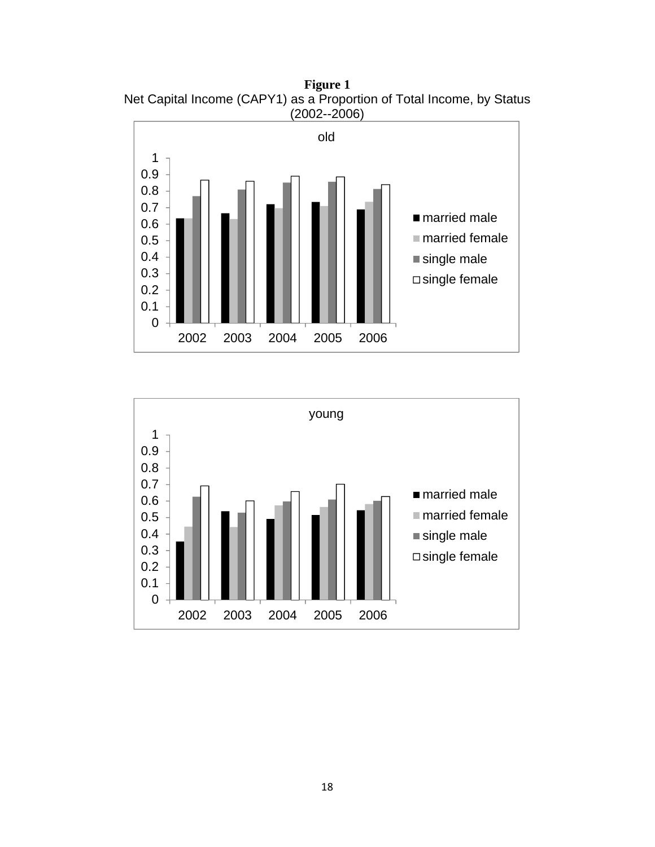**Figure 1**  Net Capital Income (CAPY1) as a Proportion of Total Income, by Status (2002--2006)



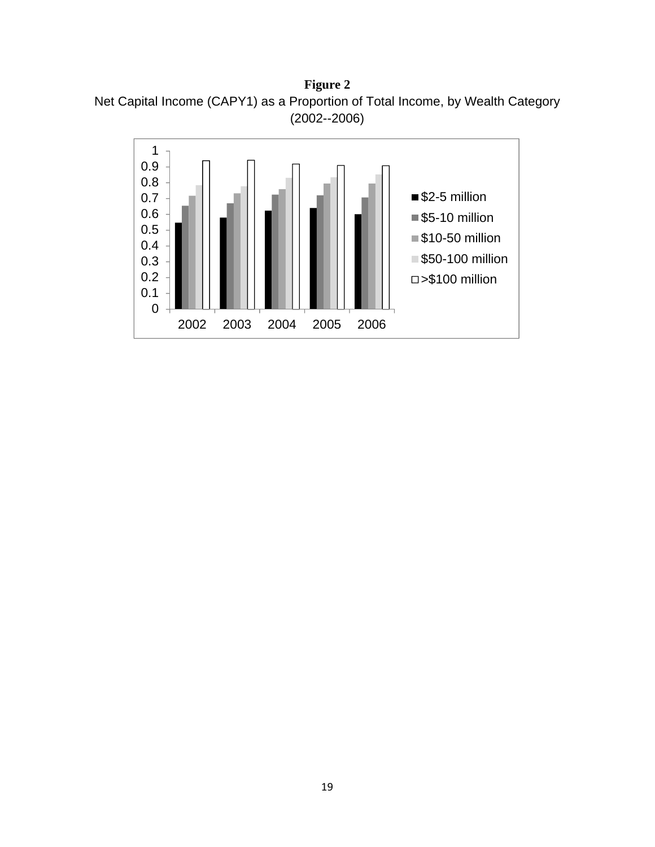**Figure 2**  Net Capital Income (CAPY1) as a Proportion of Total Income, by Wealth Category (2002--2006)

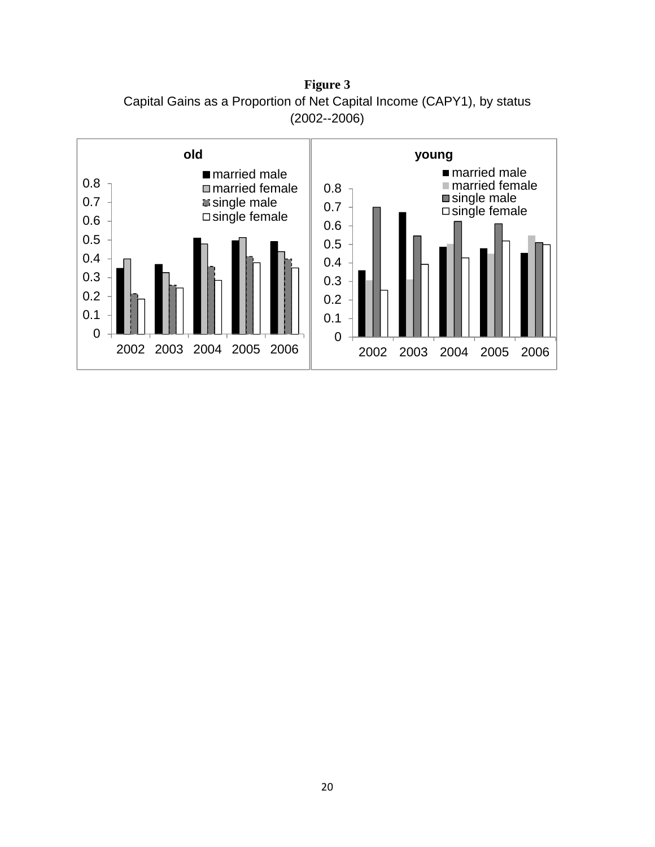**Figure 3**  Capital Gains as a Proportion of Net Capital Income (CAPY1), by status (2002--2006)

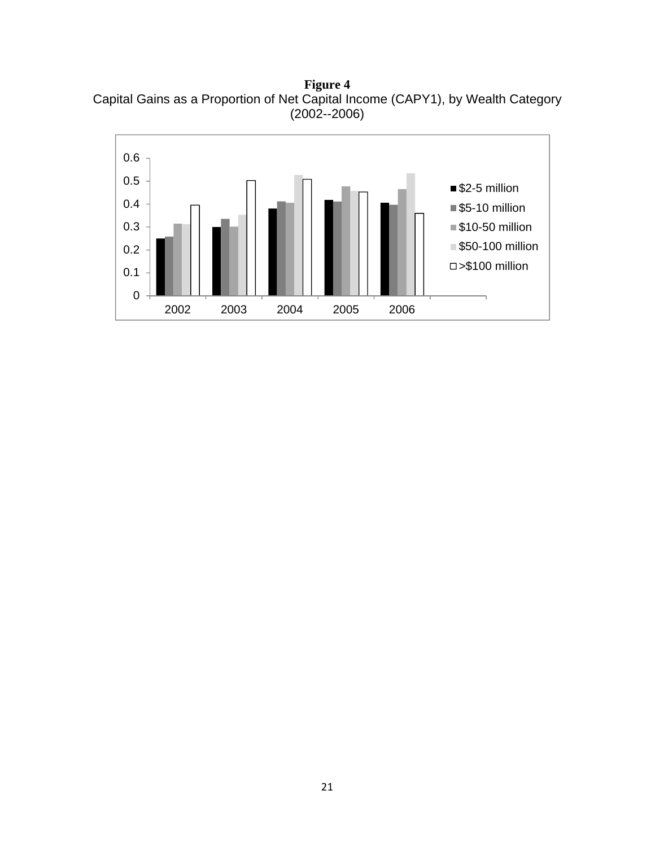**Figure 4**  Capital Gains as a Proportion of Net Capital Income (CAPY1), by Wealth Category (2002--2006)

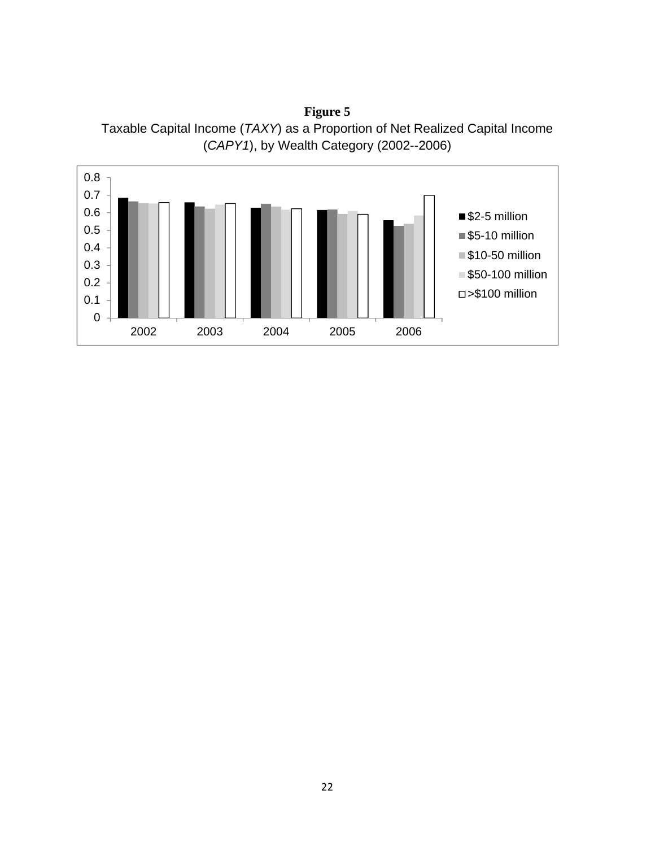**Figure 5**  Taxable Capital Income (*TAXY*) as a Proportion of Net Realized Capital Income (*CAPY1*), by Wealth Category (2002--2006)

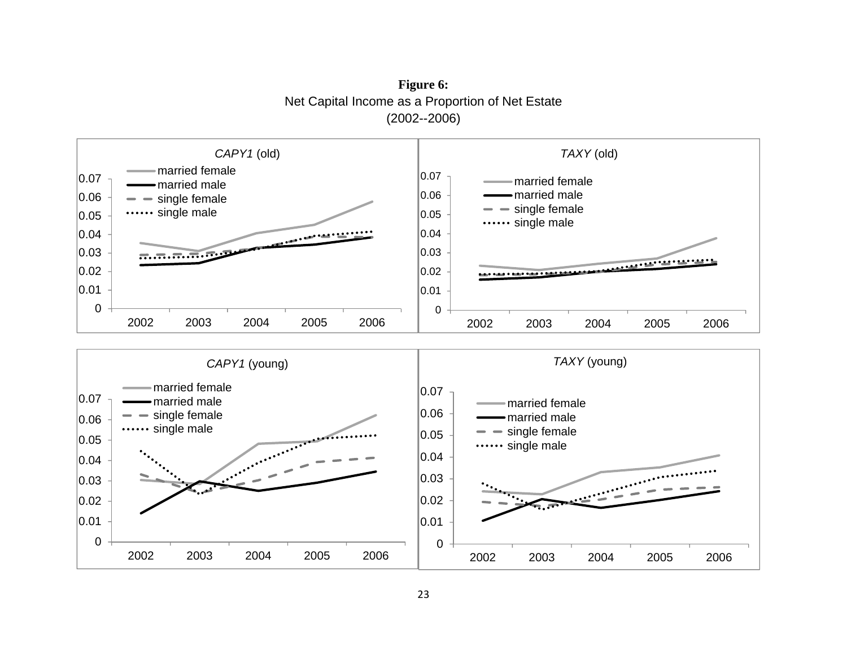**Figure 6:**  Net Capital Income as a Proportion of Net Estate (2002--2006)

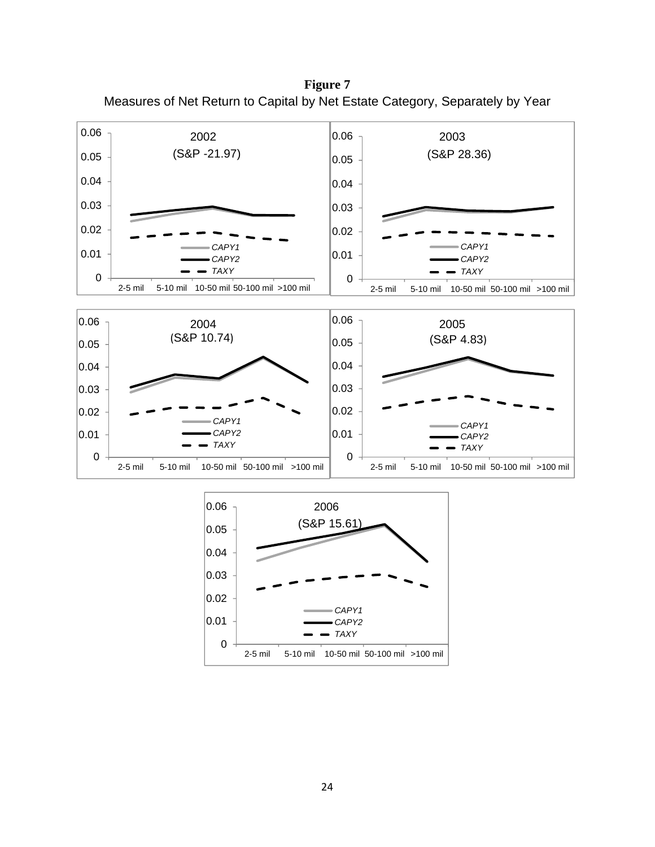**Figure 7**  Measures of Net Return to Capital by Net Estate Category, Separately by Year





2-5 mil 5-10 mil 10-50 mil 50-100 mil >100 mil

*CAPY1 CAPY2 TAXY*

0

0.01

0.02

0.03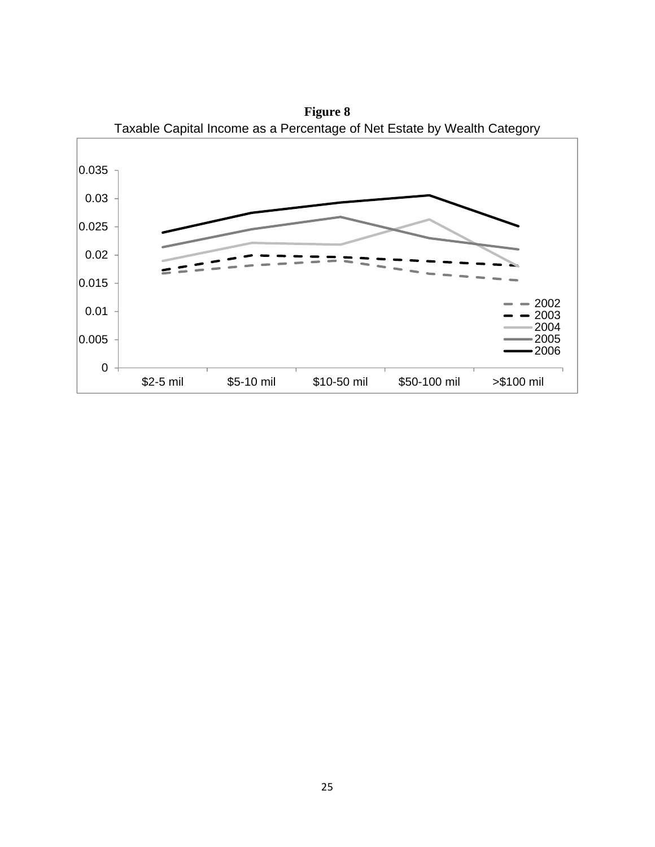

**Figure 8**  Taxable Capital Income as a Percentage of Net Estate by Wealth Category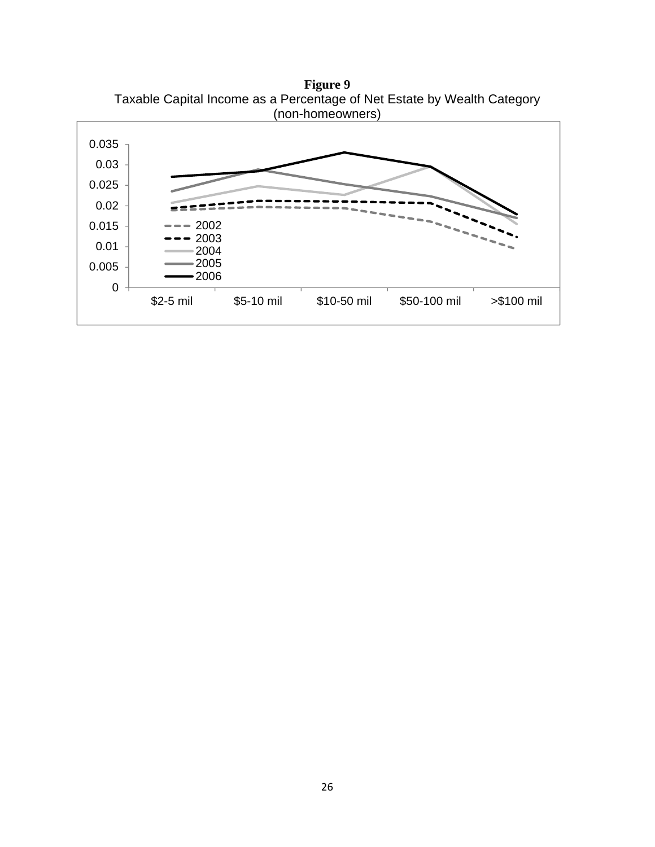

**Figure 9**  Taxable Capital Income as a Percentage of Net Estate by Wealth Category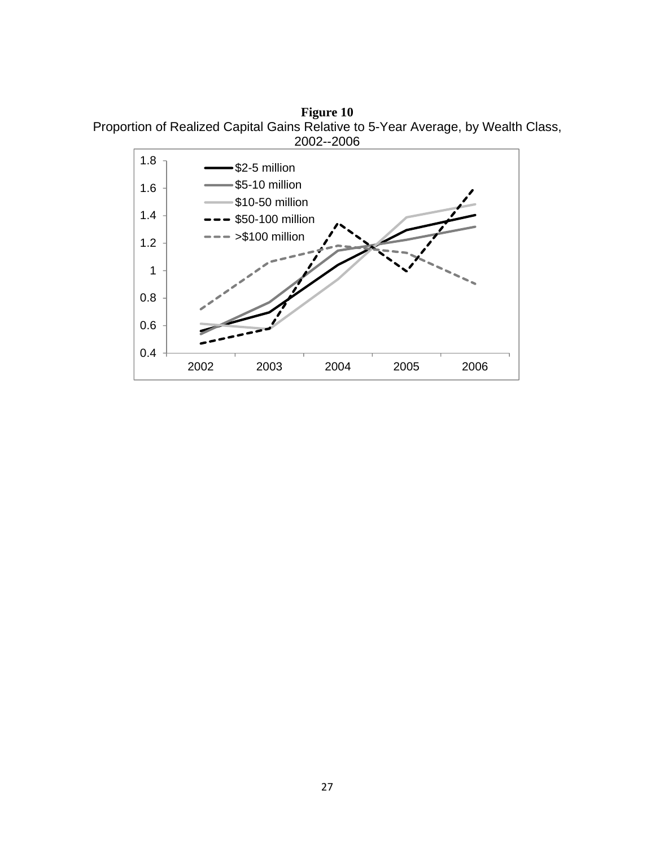**Figure 10**  Proportion of Realized Capital Gains Relative to 5-Year Average, by Wealth Class, 2002--2006

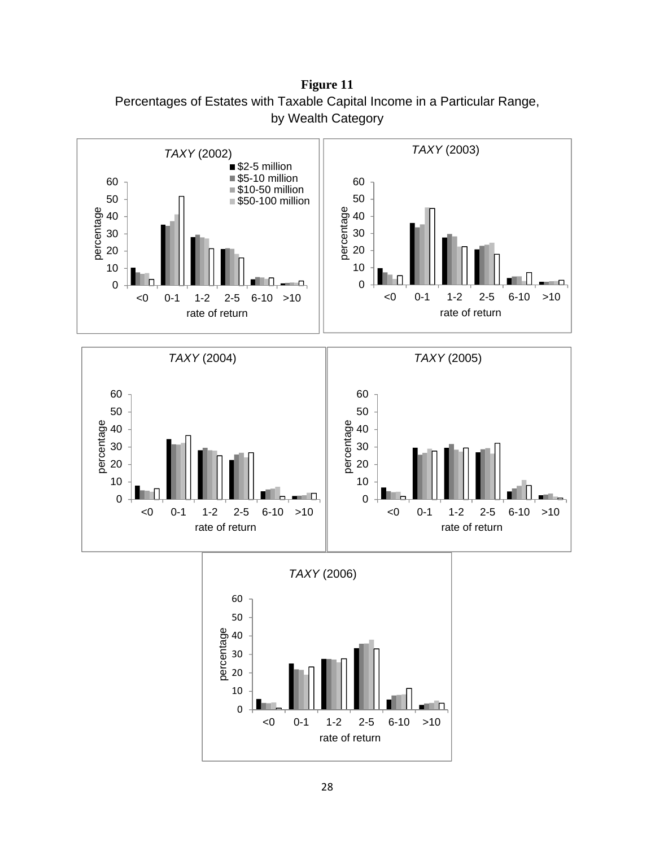**Figure 11**  Percentages of Estates with Taxable Capital Income in a Particular Range, by Wealth Category

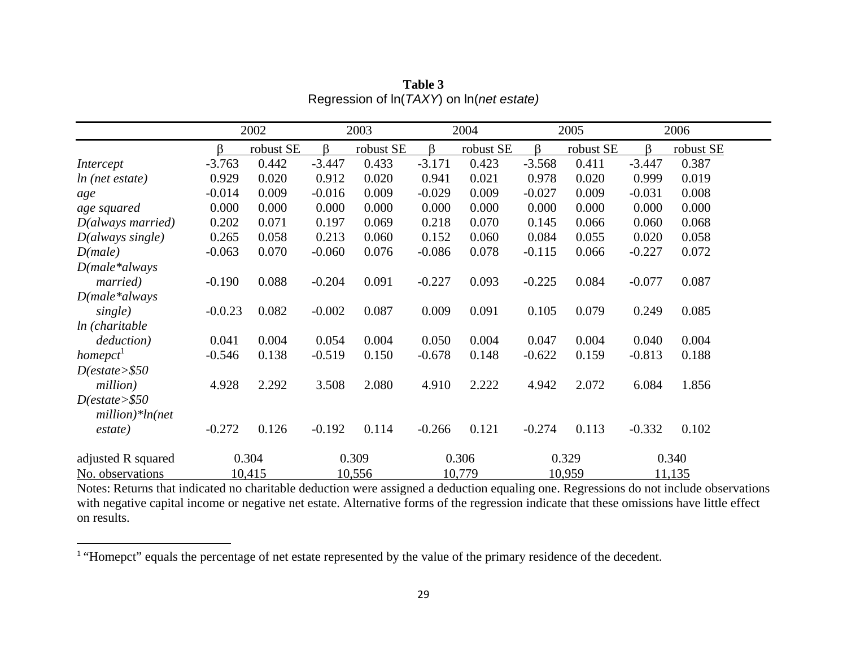|                                      | 2002      |           | 2003     |           | 2004     |           | 2005     |           |          | 2006      |
|--------------------------------------|-----------|-----------|----------|-----------|----------|-----------|----------|-----------|----------|-----------|
|                                      | β         | robust SE | ß.       | robust SE | $\beta$  | robust SE | ß.       | robust SE | $\beta$  | robust SE |
| Intercept                            | $-3.763$  | 0.442     | $-3.447$ | 0.433     | $-3.171$ | 0.423     | $-3.568$ | 0.411     | $-3.447$ | 0.387     |
| ln (net estate)                      | 0.929     | 0.020     | 0.912    | 0.020     | 0.941    | 0.021     | 0.978    | 0.020     | 0.999    | 0.019     |
| age                                  | $-0.014$  | 0.009     | $-0.016$ | 0.009     | $-0.029$ | 0.009     | $-0.027$ | 0.009     | $-0.031$ | 0.008     |
| age squared                          | 0.000     | 0.000     | 0.000    | 0.000     | 0.000    | 0.000     | 0.000    | 0.000     | 0.000    | 0.000     |
| D(always married)                    | 0.202     | 0.071     | 0.197    | 0.069     | 0.218    | 0.070     | 0.145    | 0.066     | 0.060    | 0.068     |
| $D(always\ single)$                  | 0.265     | 0.058     | 0.213    | 0.060     | 0.152    | 0.060     | 0.084    | 0.055     | 0.020    | 0.058     |
| D(male)                              | $-0.063$  | 0.070     | $-0.060$ | 0.076     | $-0.086$ | 0.078     | $-0.115$ | 0.066     | $-0.227$ | 0.072     |
| $D(male * always$                    |           |           |          |           |          |           |          |           |          |           |
| married)                             | $-0.190$  | 0.088     | $-0.204$ | 0.091     | $-0.227$ | 0.093     | $-0.225$ | 0.084     | $-0.077$ | 0.087     |
| $D(male * always$                    |           |           |          |           |          |           |          |           |          |           |
| single)                              | $-0.0.23$ | 0.082     | $-0.002$ | 0.087     | 0.009    | 0.091     | 0.105    | 0.079     | 0.249    | 0.085     |
| ln (charitable                       |           |           |          |           |          |           |          |           |          |           |
| deduction)                           | 0.041     | 0.004     | 0.054    | 0.004     | 0.050    | 0.004     | 0.047    | 0.004     | 0.040    | 0.004     |
| homepct <sup>1</sup>                 | $-0.546$  | 0.138     | $-0.519$ | 0.150     | $-0.678$ | 0.148     | $-0.622$ | 0.159     | $-0.813$ | 0.188     |
| D(estate > \$50                      |           |           |          |           |          |           |          |           |          |           |
| million)                             | 4.928     | 2.292     | 3.508    | 2.080     | 4.910    | 2.222     | 4.942    | 2.072     | 6.084    | 1.856     |
| D(estate > \$50<br>$million)*ln(net$ |           |           |          |           |          |           |          |           |          |           |
| estate)                              | $-0.272$  | 0.126     | $-0.192$ | 0.114     | $-0.266$ | 0.121     | $-0.274$ | 0.113     | $-0.332$ | 0.102     |
| adjusted R squared                   | 0.304     |           | 0.309    |           | 0.306    |           | 0.329    |           |          | 0.340     |
| No. observations                     |           | 10,415    |          | 10,556    |          | 10,779    |          | 10,959    |          | 11,135    |

**Table 3** Regression of ln(*TAXY*) on ln(*net estate)*

Notes: Returns that indicated no charitable deduction were assigned a deduction equaling one. Regressions do not include observations with negative capital income or negative net estate. Alternative forms of the regression indicate that these omissions have little effect on results.

<sup>&</sup>lt;sup>1</sup> "Homepct" equals the percentage of net estate represented by the value of the primary residence of the decedent.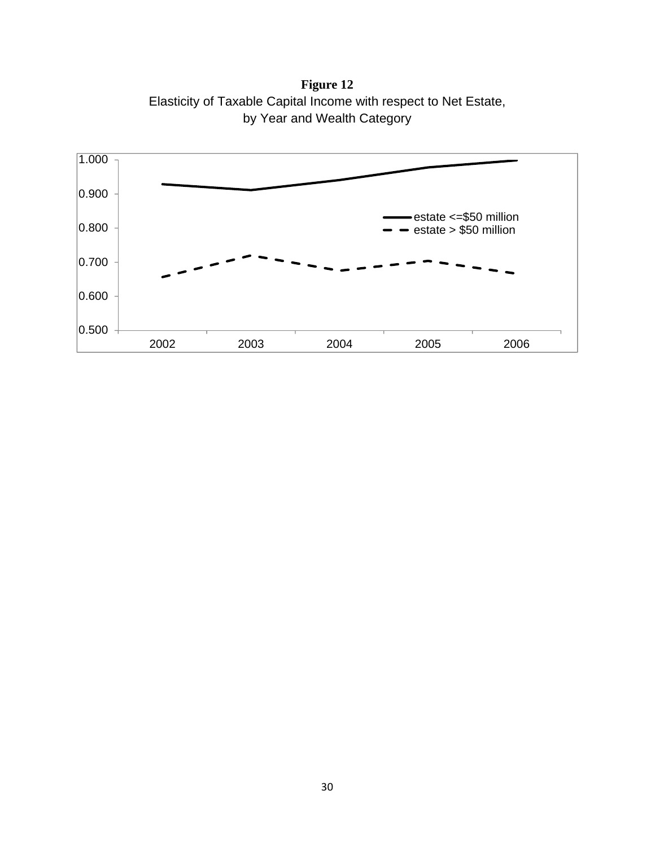**Figure 12**  Elasticity of Taxable Capital Income with respect to Net Estate, by Year and Wealth Category

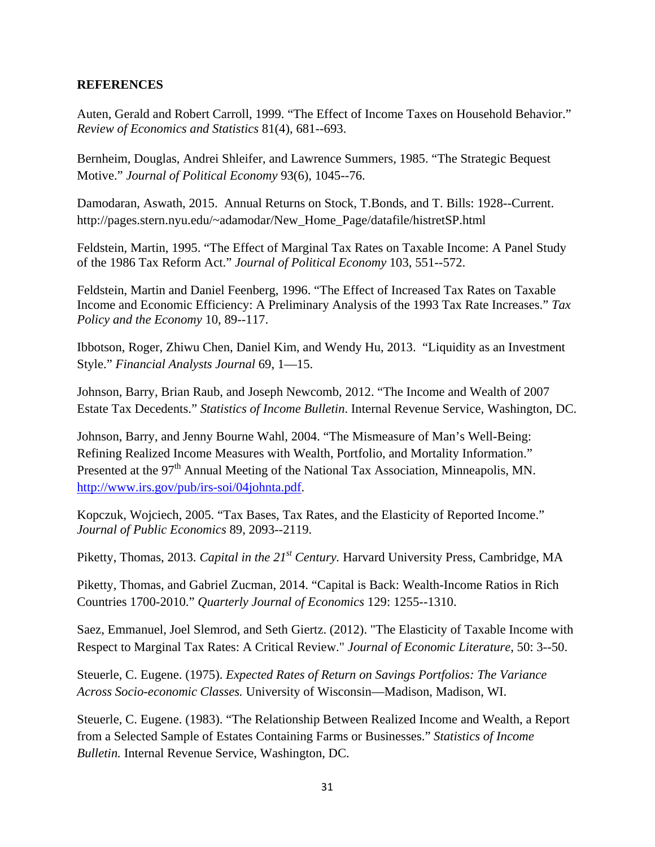# **REFERENCES**

Auten, Gerald and Robert Carroll, 1999. "The Effect of Income Taxes on Household Behavior." *Review of Economics and Statistics* 81(4), 681--693.

Bernheim, Douglas, Andrei Shleifer, and Lawrence Summers, 1985. "The Strategic Bequest Motive." *Journal of Political Economy* 93(6), 1045--76.

Damodaran, Aswath, 2015. Annual Returns on Stock, T.Bonds, and T. Bills: 1928--Current. http://pages.stern.nyu.edu/~adamodar/New\_Home\_Page/datafile/histretSP.html

Feldstein, Martin, 1995. "The Effect of Marginal Tax Rates on Taxable Income: A Panel Study of the 1986 Tax Reform Act." *Journal of Political Economy* 103, 551--572.

Feldstein, Martin and Daniel Feenberg, 1996. "The Effect of Increased Tax Rates on Taxable Income and Economic Efficiency: A Preliminary Analysis of the 1993 Tax Rate Increases." *Tax Policy and the Economy* 10, 89--117.

Ibbotson, Roger, Zhiwu Chen, Daniel Kim, and Wendy Hu, 2013. "Liquidity as an Investment Style." *Financial Analysts Journal* 69, 1—15.

Johnson, Barry, Brian Raub, and Joseph Newcomb, 2012. "The Income and Wealth of 2007 Estate Tax Decedents." *Statistics of Income Bulletin*. Internal Revenue Service, Washington, DC.

Johnson, Barry, and Jenny Bourne Wahl, 2004. "The Mismeasure of Man's Well-Being: Refining Realized Income Measures with Wealth, Portfolio, and Mortality Information." Presented at the 97<sup>th</sup> Annual Meeting of the National Tax Association, Minneapolis, MN. http://www.irs.gov/pub/irs-soi/04johnta.pdf.

Kopczuk, Wojciech, 2005. "Tax Bases, Tax Rates, and the Elasticity of Reported Income." *Journal of Public Economics* 89, 2093--2119.

Piketty, Thomas, 2013. *Capital in the 21<sup>st</sup> Century*. Harvard University Press, Cambridge, MA

Piketty, Thomas, and Gabriel Zucman, 2014. "Capital is Back: Wealth-Income Ratios in Rich Countries 1700-2010." *Quarterly Journal of Economics* 129: 1255--1310.

Saez, Emmanuel, Joel Slemrod, and Seth Giertz. (2012). "The Elasticity of Taxable Income with Respect to Marginal Tax Rates: A Critical Review." *Journal of Economic Literature*, 50: 3--50.

Steuerle, C. Eugene. (1975). *Expected Rates of Return on Savings Portfolios: The Variance Across Socio-economic Classes.* University of Wisconsin—Madison, Madison, WI.

Steuerle, C. Eugene. (1983). "The Relationship Between Realized Income and Wealth, a Report from a Selected Sample of Estates Containing Farms or Businesses." *Statistics of Income Bulletin.* Internal Revenue Service, Washington, DC.